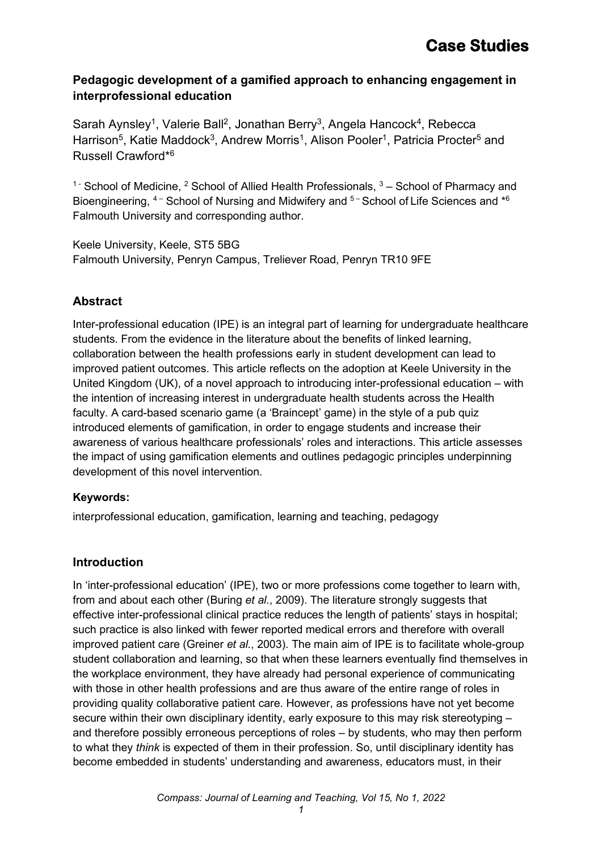### **Pedagogic development of a gamified approach to enhancing engagement in interprofessional education**

Sarah Aynsley<sup>1</sup>, Valerie Ball<sup>2</sup>, Jonathan Berry<sup>3</sup>, Angela Hancock<sup>4</sup>, Rebecca Harrison<sup>5</sup>, Katie Maddock<sup>3</sup>, Andrew Morris<sup>1</sup>, Alison Pooler<sup>1</sup>, Patricia Procter<sup>5</sup> and Russell Crawford\*6

<sup>1 -</sup> School of Medicine, <sup>2</sup> School of Allied Health Professionals,  $3 -$  School of Pharmacy and Bioengineering,  $4 -$  School of Nursing and Midwifery and  $5 -$  School of Life Sciences and  $*6$ Falmouth University and corresponding author.

Keele University, Keele, ST5 5BG Falmouth University, Penryn Campus, Treliever Road, Penryn TR10 9FE

## **Abstract**

Inter-professional education (IPE) is an integral part of learning for undergraduate healthcare students. From the evidence in the literature about the benefits of linked learning, collaboration between the health professions early in student development can lead to improved patient outcomes. This article reflects on the adoption at Keele University in the United Kingdom (UK), of a novel approach to introducing inter-professional education – with the intention of increasing interest in undergraduate health students across the Health faculty. A card-based scenario game (a 'Braincept' game) in the style of a pub quiz introduced elements of gamification, in order to engage students and increase their awareness of various healthcare professionals' roles and interactions. This article assesses the impact of using gamification elements and outlines pedagogic principles underpinning development of this novel intervention.

### **Keywords:**

interprofessional education, gamification, learning and teaching, pedagogy

## **Introduction**

In 'inter-professional education' (IPE), two or more professions come together to learn with, from and about each other (Buring *et al.*, 2009). The literature strongly suggests that effective inter-professional clinical practice reduces the length of patients' stays in hospital; such practice is also linked with fewer reported medical errors and therefore with overall improved patient care (Greiner *et al.*, 2003). The main aim of IPE is to facilitate whole-group student collaboration and learning, so that when these learners eventually find themselves in the workplace environment, they have already had personal experience of communicating with those in other health professions and are thus aware of the entire range of roles in providing quality collaborative patient care. However, as professions have not yet become secure within their own disciplinary identity, early exposure to this may risk stereotyping – and therefore possibly erroneous perceptions of roles – by students, who may then perform to what they *think* is expected of them in their profession. So, until disciplinary identity has become embedded in students' understanding and awareness, educators must, in their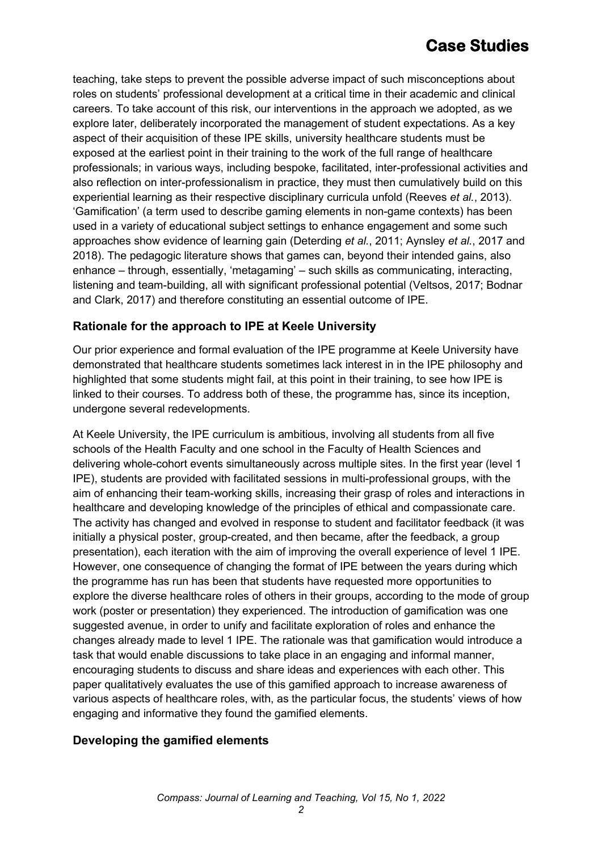teaching, take steps to prevent the possible adverse impact of such misconceptions about roles on students' professional development at a critical time in their academic and clinical careers. To take account of this risk, our interventions in the approach we adopted, as we explore later, deliberately incorporated the management of student expectations. As a key aspect of their acquisition of these IPE skills, university healthcare students must be exposed at the earliest point in their training to the work of the full range of healthcare professionals; in various ways, including bespoke, facilitated, inter-professional activities and also reflection on inter-professionalism in practice, they must then cumulatively build on this experiential learning as their respective disciplinary curricula unfold (Reeves *et al.*, 2013). 'Gamification' (a term used to describe gaming elements in non-game contexts) has been used in a variety of educational subject settings to enhance engagement and some such approaches show evidence of learning gain (Deterding *et al.*, 2011; Aynsley *et al.*, 2017 and 2018). The pedagogic literature shows that games can, beyond their intended gains, also enhance – through, essentially, 'metagaming' – such skills as communicating, interacting, listening and team-building, all with significant professional potential (Veltsos, 2017; Bodnar and Clark, 2017) and therefore constituting an essential outcome of IPE.

### **Rationale for the approach to IPE at Keele University**

Our prior experience and formal evaluation of the IPE programme at Keele University have demonstrated that healthcare students sometimes lack interest in in the IPE philosophy and highlighted that some students might fail, at this point in their training, to see how IPE is linked to their courses. To address both of these, the programme has, since its inception, undergone several redevelopments.

At Keele University, the IPE curriculum is ambitious, involving all students from all five schools of the Health Faculty and one school in the Faculty of Health Sciences and delivering whole-cohort events simultaneously across multiple sites. In the first year (level 1 IPE), students are provided with facilitated sessions in multi-professional groups, with the aim of enhancing their team-working skills, increasing their grasp of roles and interactions in healthcare and developing knowledge of the principles of ethical and compassionate care. The activity has changed and evolved in response to student and facilitator feedback (it was initially a physical poster, group-created, and then became, after the feedback, a group presentation), each iteration with the aim of improving the overall experience of level 1 IPE. However, one consequence of changing the format of IPE between the years during which the programme has run has been that students have requested more opportunities to explore the diverse healthcare roles of others in their groups, according to the mode of group work (poster or presentation) they experienced. The introduction of gamification was one suggested avenue, in order to unify and facilitate exploration of roles and enhance the changes already made to level 1 IPE. The rationale was that gamification would introduce a task that would enable discussions to take place in an engaging and informal manner, encouraging students to discuss and share ideas and experiences with each other. This paper qualitatively evaluates the use of this gamified approach to increase awareness of various aspects of healthcare roles, with, as the particular focus, the students' views of how engaging and informative they found the gamified elements.

### **Developing the gamified elements**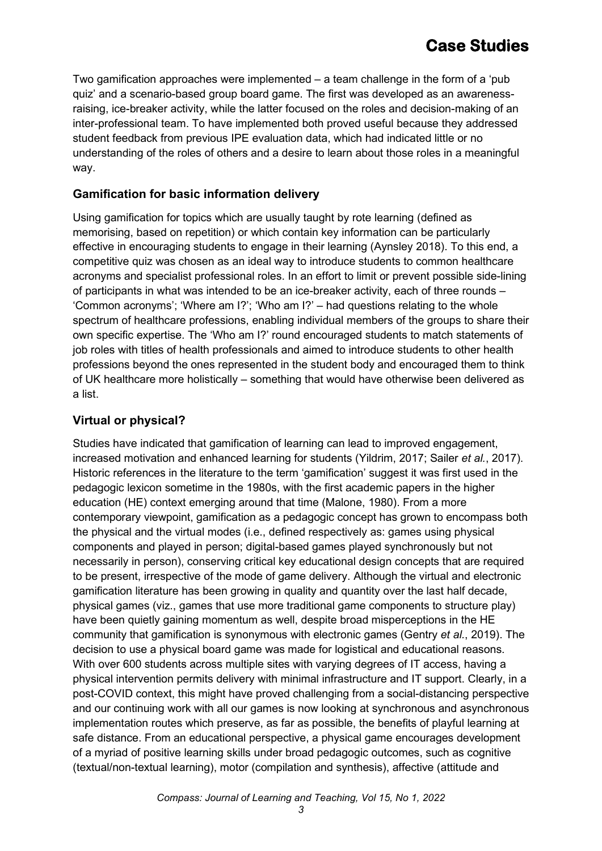Two gamification approaches were implemented – a team challenge in the form of a 'pub quiz' and a scenario-based group board game. The first was developed as an awarenessraising, ice-breaker activity, while the latter focused on the roles and decision-making of an inter-professional team. To have implemented both proved useful because they addressed student feedback from previous IPE evaluation data, which had indicated little or no understanding of the roles of others and a desire to learn about those roles in a meaningful way.

### **Gamification for basic information delivery**

Using gamification for topics which are usually taught by rote learning (defined as memorising, based on repetition) or which contain key information can be particularly effective in encouraging students to engage in their learning (Aynsley 2018). To this end, a competitive quiz was chosen as an ideal way to introduce students to common healthcare acronyms and specialist professional roles. In an effort to limit or prevent possible side-lining of participants in what was intended to be an ice-breaker activity, each of three rounds – 'Common acronyms'; 'Where am I?'; 'Who am I?' – had questions relating to the whole spectrum of healthcare professions, enabling individual members of the groups to share their own specific expertise. The 'Who am I?' round encouraged students to match statements of job roles with titles of health professionals and aimed to introduce students to other health professions beyond the ones represented in the student body and encouraged them to think of UK healthcare more holistically – something that would have otherwise been delivered as a list.

## **Virtual or physical?**

Studies have indicated that gamification of learning can lead to improved engagement, increased motivation and enhanced learning for students (Yildrim, 2017; Sailer *et al.*, 2017). Historic references in the literature to the term 'gamification' suggest it was first used in the pedagogic lexicon sometime in the 1980s, with the first academic papers in the higher education (HE) context emerging around that time (Malone, 1980). From a more contemporary viewpoint, gamification as a pedagogic concept has grown to encompass both the physical and the virtual modes (i.e., defined respectively as: games using physical components and played in person; digital-based games played synchronously but not necessarily in person), conserving critical key educational design concepts that are required to be present, irrespective of the mode of game delivery. Although the virtual and electronic gamification literature has been growing in quality and quantity over the last half decade, physical games (viz., games that use more traditional game components to structure play) have been quietly gaining momentum as well, despite broad misperceptions in the HE community that gamification is synonymous with electronic games (Gentry *et al.*, 2019). The decision to use a physical board game was made for logistical and educational reasons. With over 600 students across multiple sites with varying degrees of IT access, having a physical intervention permits delivery with minimal infrastructure and IT support. Clearly, in a post-COVID context, this might have proved challenging from a social-distancing perspective and our continuing work with all our games is now looking at synchronous and asynchronous implementation routes which preserve, as far as possible, the benefits of playful learning at safe distance. From an educational perspective, a physical game encourages development of a myriad of positive learning skills under broad pedagogic outcomes, such as cognitive (textual/non-textual learning), motor (compilation and synthesis), affective (attitude and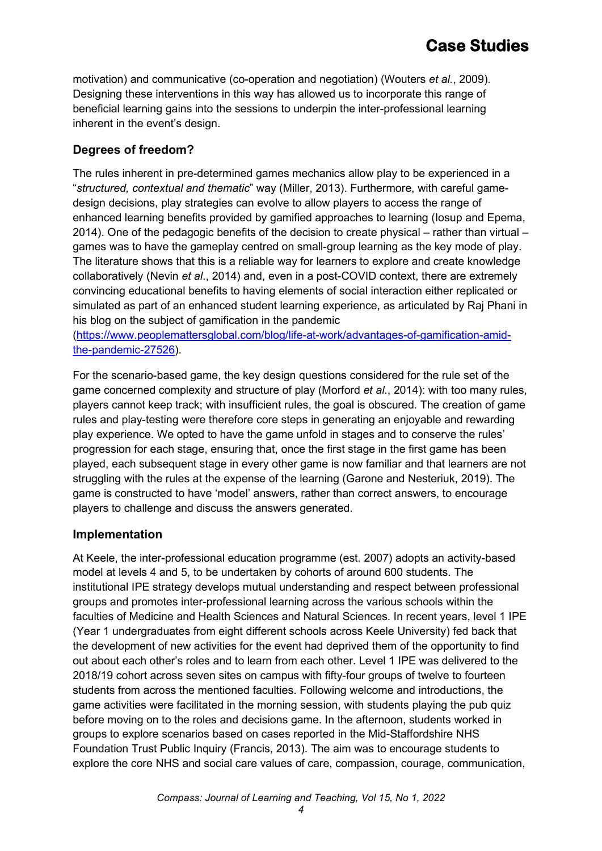motivation) and communicative (co-operation and negotiation) (Wouters *et al.*, 2009). Designing these interventions in this way has allowed us to incorporate this range of beneficial learning gains into the sessions to underpin the inter-professional learning inherent in the event's design.

## **Degrees of freedom?**

The rules inherent in pre-determined games mechanics allow play to be experienced in a "*structured, contextual and thematic*" way (Miller, 2013). Furthermore, with careful gamedesign decisions, play strategies can evolve to allow players to access the range of enhanced learning benefits provided by gamified approaches to learning (Iosup and Epema, 2014). One of the pedagogic benefits of the decision to create physical – rather than virtual – games was to have the gameplay centred on small-group learning as the key mode of play. The literature shows that this is a reliable way for learners to explore and create knowledge collaboratively (Nevin *et al*., 2014) and, even in a post-COVID context, there are extremely convincing educational benefits to having elements of social interaction either replicated or simulated as part of an enhanced student learning experience, as articulated by Raj Phani in his blog on the subject of gamification in the pandemic

[\(https://www.peoplemattersglobal.com/blog/life-at-work/advantages-of-gamification-amid](https://www.peoplemattersglobal.com/blog/life-at-work/advantages-of-gamification-amid-the-pandemic-27526)[the-pandemic-27526\)](https://www.peoplemattersglobal.com/blog/life-at-work/advantages-of-gamification-amid-the-pandemic-27526).

For the scenario-based game, the key design questions considered for the rule set of the game concerned complexity and structure of play (Morford *et al.*, 2014): with too many rules, players cannot keep track; with insufficient rules, the goal is obscured. The creation of game rules and play-testing were therefore core steps in generating an enjoyable and rewarding play experience. We opted to have the game unfold in stages and to conserve the rules' progression for each stage, ensuring that, once the first stage in the first game has been played, each subsequent stage in every other game is now familiar and that learners are not struggling with the rules at the expense of the learning (Garone and Nesteriuk, 2019). The game is constructed to have 'model' answers, rather than correct answers, to encourage players to challenge and discuss the answers generated.

### **Implementation**

At Keele, the inter-professional education programme (est. 2007) adopts an activity-based model at levels 4 and 5, to be undertaken by cohorts of around 600 students. The institutional IPE strategy develops mutual understanding and respect between professional groups and promotes inter-professional learning across the various schools within the faculties of Medicine and Health Sciences and Natural Sciences. In recent years, level 1 IPE (Year 1 undergraduates from eight different schools across Keele University) fed back that the development of new activities for the event had deprived them of the opportunity to find out about each other's roles and to learn from each other. Level 1 IPE was delivered to the 2018/19 cohort across seven sites on campus with fifty-four groups of twelve to fourteen students from across the mentioned faculties. Following welcome and introductions, the game activities were facilitated in the morning session, with students playing the pub quiz before moving on to the roles and decisions game. In the afternoon, students worked in groups to explore scenarios based on cases reported in the Mid-Staffordshire NHS Foundation Trust Public Inquiry (Francis, 2013). The aim was to encourage students to explore the core NHS and social care values of care, compassion, courage, communication,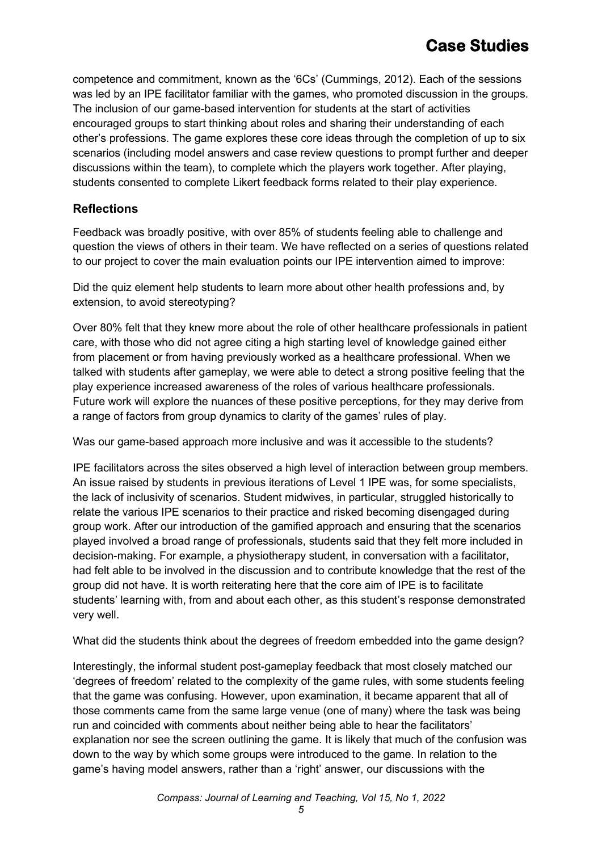competence and commitment, known as the '6Cs' (Cummings, 2012). Each of the sessions was led by an IPE facilitator familiar with the games, who promoted discussion in the groups. The inclusion of our game-based intervention for students at the start of activities encouraged groups to start thinking about roles and sharing their understanding of each other's professions. The game explores these core ideas through the completion of up to six scenarios (including model answers and case review questions to prompt further and deeper discussions within the team), to complete which the players work together. After playing, students consented to complete Likert feedback forms related to their play experience.

### **Reflections**

Feedback was broadly positive, with over 85% of students feeling able to challenge and question the views of others in their team. We have reflected on a series of questions related to our project to cover the main evaluation points our IPE intervention aimed to improve:

Did the quiz element help students to learn more about other health professions and, by extension, to avoid stereotyping?

Over 80% felt that they knew more about the role of other healthcare professionals in patient care, with those who did not agree citing a high starting level of knowledge gained either from placement or from having previously worked as a healthcare professional. When we talked with students after gameplay, we were able to detect a strong positive feeling that the play experience increased awareness of the roles of various healthcare professionals. Future work will explore the nuances of these positive perceptions, for they may derive from a range of factors from group dynamics to clarity of the games' rules of play.

Was our game-based approach more inclusive and was it accessible to the students?

IPE facilitators across the sites observed a high level of interaction between group members. An issue raised by students in previous iterations of Level 1 IPE was, for some specialists, the lack of inclusivity of scenarios. Student midwives, in particular, struggled historically to relate the various IPE scenarios to their practice and risked becoming disengaged during group work. After our introduction of the gamified approach and ensuring that the scenarios played involved a broad range of professionals, students said that they felt more included in decision-making. For example, a physiotherapy student, in conversation with a facilitator, had felt able to be involved in the discussion and to contribute knowledge that the rest of the group did not have. It is worth reiterating here that the core aim of IPE is to facilitate students' learning with, from and about each other, as this student's response demonstrated very well.

What did the students think about the degrees of freedom embedded into the game design?

Interestingly, the informal student post-gameplay feedback that most closely matched our 'degrees of freedom' related to the complexity of the game rules, with some students feeling that the game was confusing. However, upon examination, it became apparent that all of those comments came from the same large venue (one of many) where the task was being run and coincided with comments about neither being able to hear the facilitators' explanation nor see the screen outlining the game. It is likely that much of the confusion was down to the way by which some groups were introduced to the game. In relation to the game's having model answers, rather than a 'right' answer, our discussions with the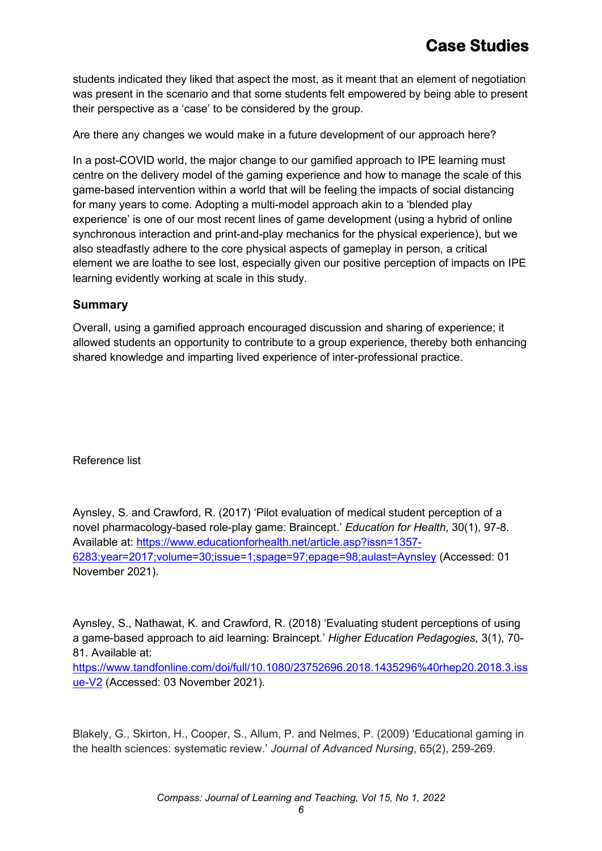students indicated they liked that aspect the most, as it meant that an element of negotiation was present in the scenario and that some students felt empowered by being able to present their perspective as a 'case' to be considered by the group.

Are there any changes we would make in a future development of our approach here?

In a post-COVID world, the major change to our gamified approach to IPE learning must centre on the delivery model of the gaming experience and how to manage the scale of this game-based intervention within a world that will be feeling the impacts of social distancing for many years to come. Adopting a multi-model approach akin to a 'blended play experience' is one of our most recent lines of game development (using a hybrid of online synchronous interaction and print-and-play mechanics for the physical experience), but we also steadfastly adhere to the core physical aspects of gameplay in person, a critical element we are loathe to see lost, especially given our positive perception of impacts on IPE learning evidently working at scale in this study.

#### **Summary**

Overall, using a gamified approach encouraged discussion and sharing of experience; it allowed students an opportunity to contribute to a group experience, thereby both enhancing shared knowledge and imparting lived experience of inter-professional practice.

Reference list

Aynsley, S. and Crawford, R. (2017) 'Pilot evaluation of medical student perception of a novel pharmacology-based role-play game: Braincept.' *Education for Health*, 30(1), 97-8. Available at: [https://www.educationforhealth.net/article.asp?issn=1357-](https://www.educationforhealth.net/article.asp?issn=1357-6283;year=2017;volume=30;issue=1;spage=97;epage=98;aulast=Aynsley) [6283;year=2017;volume=30;issue=1;spage=97;epage=98;aulast=Aynsley](https://www.educationforhealth.net/article.asp?issn=1357-6283;year=2017;volume=30;issue=1;spage=97;epage=98;aulast=Aynsley) (Accessed: 01 November 2021).

Aynsley, S., Nathawat, K. and Crawford, R. (2018) 'Evaluating student perceptions of using a game-based approach to aid learning: Braincept.' *Higher Education Pedagogies*, 3(1), 70- 81. Available at:

[https://www.tandfonline.com/doi/full/10.1080/23752696.2018.1435296%40rhep20.2018.3.iss](https://www.tandfonline.com/doi/full/10.1080/23752696.2018.1435296%40rhep20.2018.3.issue-V2) [ue-V2](https://www.tandfonline.com/doi/full/10.1080/23752696.2018.1435296%40rhep20.2018.3.issue-V2) (Accessed: 03 November 2021).

Blakely, G., Skirton, H., Cooper, S., Allum, P. and Nelmes, P. (2009) 'Educational gaming in the health sciences: systematic review.' *Journal of Advanced Nursing*, 65(2), 259-269.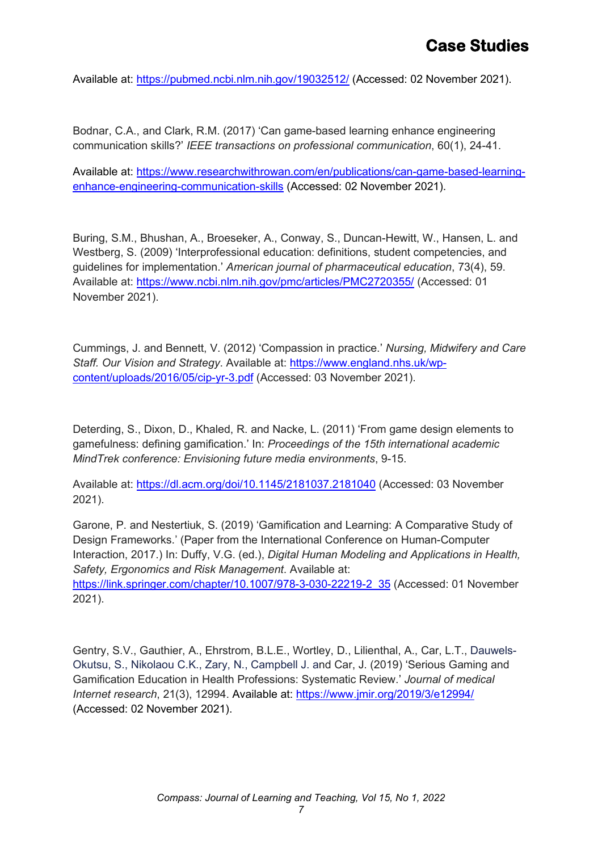Available at:<https://pubmed.ncbi.nlm.nih.gov/19032512/> (Accessed: 02 November 2021).

Bodnar, C.A., and Clark, R.M. (2017) 'Can game-based learning enhance engineering communication skills?' *IEEE transactions on professional communication*, 60(1), 24-41.

Available at: [https://www.researchwithrowan.com/en/publications/can-game-based-learning](https://www.researchwithrowan.com/en/publications/can-game-based-learning-enhance-engineering-communication-skills)[enhance-engineering-communication-skills](https://www.researchwithrowan.com/en/publications/can-game-based-learning-enhance-engineering-communication-skills) (Accessed: 02 November 2021).

Buring, S.M., Bhushan, A., Broeseker, A., Conway, S., Duncan-Hewitt, W., Hansen, L. and Westberg, S. (2009) 'Interprofessional education: definitions, student competencies, and guidelines for implementation.' *American journal of pharmaceutical education*, 73(4), 59. Available at:<https://www.ncbi.nlm.nih.gov/pmc/articles/PMC2720355/> (Accessed: 01 November 2021).

Cummings, J. and Bennett, V. (2012) 'Compassion in practice.' *Nursing, Midwifery and Care Staff. Our Vision and Strategy*. Available at: [https://www.england.nhs.uk/wp](https://www.england.nhs.uk/wp-content/uploads/2016/05/cip-yr-3.pdf)[content/uploads/2016/05/cip-yr-3.pdf](https://www.england.nhs.uk/wp-content/uploads/2016/05/cip-yr-3.pdf) (Accessed: 03 November 2021).

Deterding, S., Dixon, D., Khaled, R. and Nacke, L. (2011) 'From game design elements to gamefulness: defining gamification.' In: *Proceedings of the 15th international academic MindTrek conference: Envisioning future media environments*, 9-15.

Available at:<https://dl.acm.org/doi/10.1145/2181037.2181040> (Accessed: 03 November 2021).

Garone, P. and Nestertiuk, S. (2019) 'Gamification and Learning: A Comparative Study of Design Frameworks.' (Paper from the International Conference on Human-Computer Interaction, 2017.) In: Duffy, V.G. (ed.), *Digital Human Modeling and Applications in Health, Safety, Ergonomics and Risk Management*. Available at: [https://link.springer.com/chapter/10.1007/978-3-030-22219-2\\_35](https://link.springer.com/chapter/10.1007/978-3-030-22219-2_35) (Accessed: 01 November 2021).

Gentry, S.V., Gauthier, A., Ehrstrom, B.L.E., Wortley, D., Lilienthal, A., Car, L.T., Dauwels-Okutsu, S., Nikolaou C.K., Zary, N., Campbell J. and Car, J. (2019) 'Serious Gaming and Gamification Education in Health Professions: Systematic Review.' *Journal of medical Internet research*, 21(3), 12994. Available at:<https://www.jmir.org/2019/3/e12994/> (Accessed: 02 November 2021).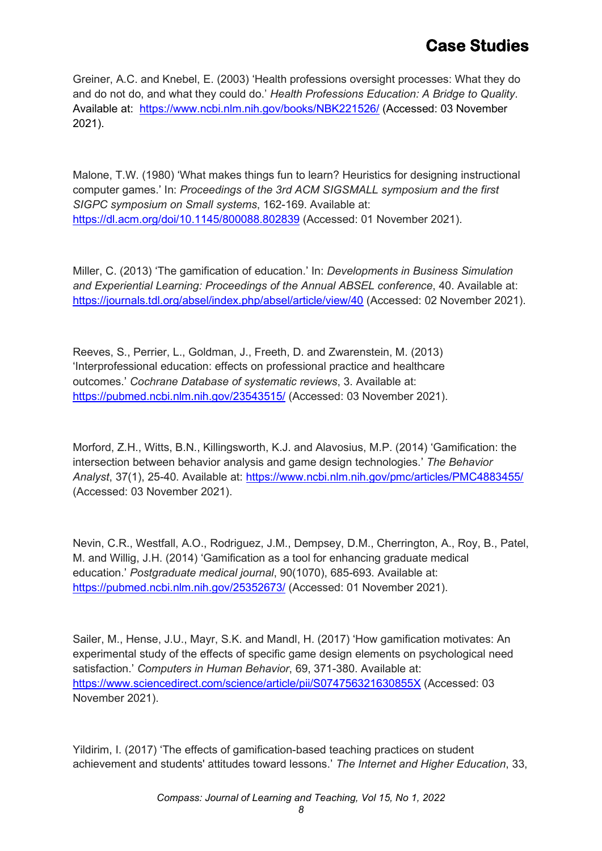Greiner, A.C. and Knebel, E. (2003) 'Health professions oversight processes: What they do and do not do, and what they could do.' *Health Professions Education: A Bridge to Quality*. Available at: <https://www.ncbi.nlm.nih.gov/books/NBK221526/> (Accessed: 03 November 2021).

Malone, T.W. (1980) 'What makes things fun to learn? Heuristics for designing instructional computer games.' In: *Proceedings of the 3rd ACM SIGSMALL symposium and the first SIGPC symposium on Small systems*, 162-169. Available at: <https://dl.acm.org/doi/10.1145/800088.802839> (Accessed: 01 November 2021).

Miller, C. (2013) 'The gamification of education.' In: *Developments in Business Simulation and Experiential Learning: Proceedings of the Annual ABSEL conference*, 40. Available at: <https://journals.tdl.org/absel/index.php/absel/article/view/40> (Accessed: 02 November 2021).

Reeves, S., Perrier, L., Goldman, J., Freeth, D. and Zwarenstein, M. (2013) 'Interprofessional education: effects on professional practice and healthcare outcomes.' *Cochrane Database of systematic reviews*, 3. Available at: <https://pubmed.ncbi.nlm.nih.gov/23543515/>(Accessed: 03 November 2021).

Morford, Z.H., Witts, B.N., Killingsworth, K.J. and Alavosius, M.P. (2014) 'Gamification: the intersection between behavior analysis and game design technologies.' *The Behavior Analyst*, 37(1), 25-40. Available at:<https://www.ncbi.nlm.nih.gov/pmc/articles/PMC4883455/> (Accessed: 03 November 2021).

Nevin, C.R., Westfall, A.O., Rodriguez, J.M., Dempsey, D.M., Cherrington, A., Roy, B., Patel, M. and Willig, J.H. (2014) 'Gamification as a tool for enhancing graduate medical education.' *Postgraduate medical journal*, 90(1070), 685-693. Available at: <https://pubmed.ncbi.nlm.nih.gov/25352673/> (Accessed: 01 November 2021).

Sailer, M., Hense, J.U., Mayr, S.K. and Mandl, H. (2017) 'How gamification motivates: An experimental study of the effects of specific game design elements on psychological need satisfaction.' *Computers in Human Behavior*, 69, 371-380. Available at: <https://www.sciencedirect.com/science/article/pii/S074756321630855X> (Accessed: 03 November 2021).

Yildirim, I. (2017) 'The effects of gamification-based teaching practices on student achievement and students' attitudes toward lessons.' *The Internet and Higher Education*, 33,